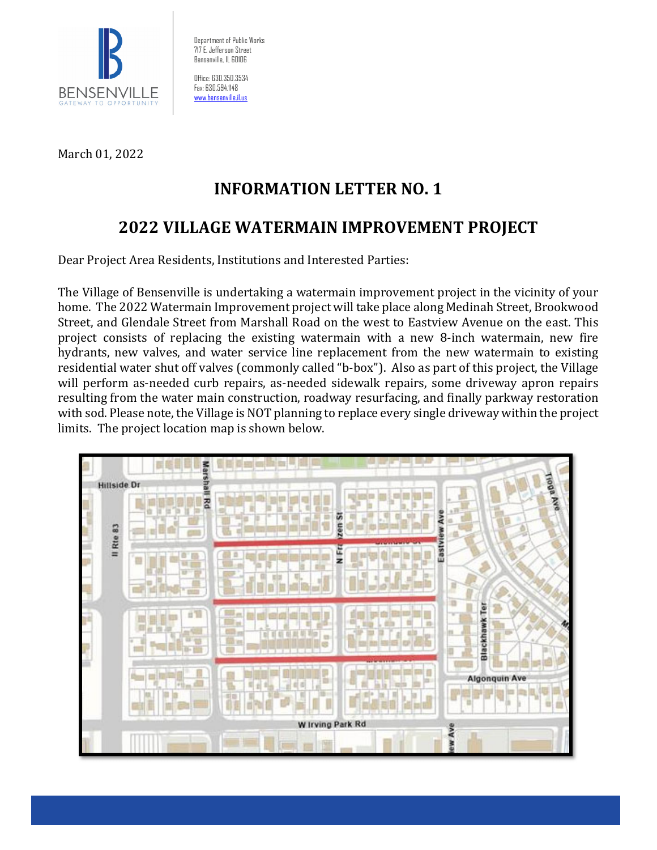

Department of Public Works 717 E. Jefferson Street Bensenville, IL 60106

Office: 630.350.3534 Fax: 630.594.1148 www.hensenville.il.us

March 01, 2022

# **INFORMATION LETTER NO. 1**

## **2022 VILLAGE WATERMAIN IMPROVEMENT PROJECT**

Dear Project Area Residents, Institutions and Interested Parties:

The Village of Bensenville is undertaking a watermain improvement project in the vicinity of your home. The 2022 Watermain Improvement project will take place along Medinah Street, Brookwood Street, and Glendale Street from Marshall Road on the west to Eastview Avenue on the east. This project consists of replacing the existing watermain with a new 8-inch watermain, new fire hydrants, new valves, and water service line replacement from the new watermain to existing residential water shut off valves (commonly called "b-box"). Also as part of this project, the Village will perform as-needed curb repairs, as-needed sidewalk repairs, some driveway apron repairs resulting from the water main construction, roadway resurfacing, and finally parkway restoration with sod. Please note, the Village is NOT planning to replace every single driveway within the project limits. The project location map is shown below.

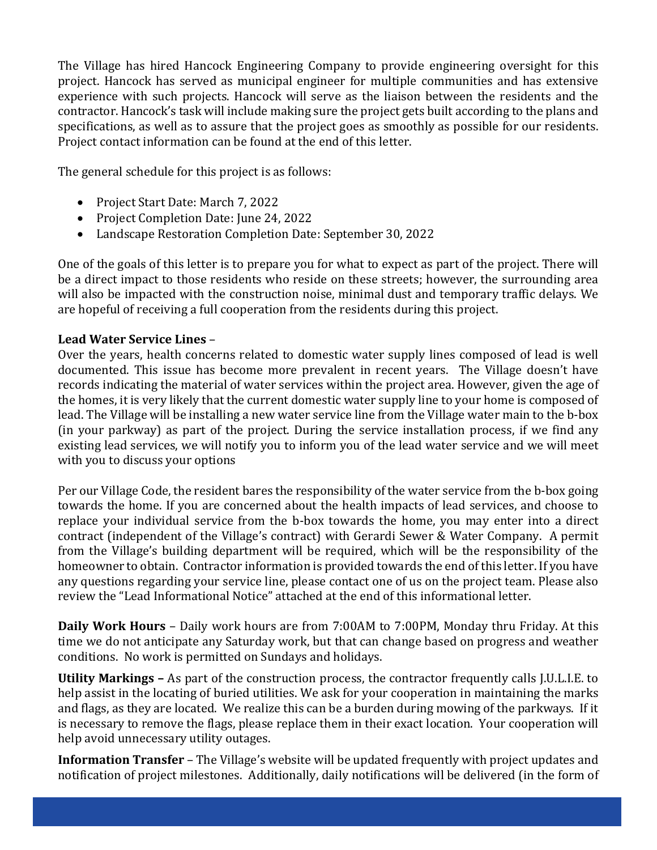The Village has hired Hancock Engineering Company to provide engineering oversight for this project. Hancock has served as municipal engineer for multiple communities and has extensive experience with such projects. Hancock will serve as the liaison between the residents and the contractor. Hancock's task will include making sure the project gets built according to the plans and specifications, as well as to assure that the project goes as smoothly as possible for our residents. Project contact information can be found at the end of this letter.

The general schedule for this project is as follows:

- Project Start Date: March 7, 2022
- Project Completion Date: June 24, 2022
- Landscape Restoration Completion Date: September 30, 2022

One of the goals of this letter is to prepare you for what to expect as part of the project. There will be a direct impact to those residents who reside on these streets; however, the surrounding area will also be impacted with the construction noise, minimal dust and temporary traffic delays. We are hopeful of receiving a full cooperation from the residents during this project.

### **Lead Water Service Lines** –

Over the years, health concerns related to domestic water supply lines composed of lead is well documented. This issue has become more prevalent in recent years. The Village doesn't have records indicating the material of water services within the project area. However, given the age of the homes, it is very likely that the current domestic water supply line to your home is composed of lead. The Village will be installing a new water service line from the Village water main to the b-box (in your parkway) as part of the project. During the service installation process, if we find any existing lead services, we will notify you to inform you of the lead water service and we will meet with you to discuss your options

Per our Village Code, the resident bares the responsibility of the water service from the b-box going towards the home. If you are concerned about the health impacts of lead services, and choose to replace your individual service from the b-box towards the home, you may enter into a direct contract (independent of the Village's contract) with Gerardi Sewer & Water Company. A permit from the Village's building department will be required, which will be the responsibility of the homeowner to obtain. Contractor information is provided towards the end of this letter. If you have any questions regarding your service line, please contact one of us on the project team. Please also review the "Lead Informational Notice" attached at the end of this informational letter.

**Daily Work Hours** – Daily work hours are from 7:00AM to 7:00PM, Monday thru Friday. At this time we do not anticipate any Saturday work, but that can change based on progress and weather conditions. No work is permitted on Sundays and holidays.

**Utility Markings –** As part of the construction process, the contractor frequently calls J.U.L.I.E. to help assist in the locating of buried utilities. We ask for your cooperation in maintaining the marks and flags, as they are located. We realize this can be a burden during mowing of the parkways. If it is necessary to remove the flags, please replace them in their exact location. Your cooperation will help avoid unnecessary utility outages.

**Information Transfer** – The Village's website will be updated frequently with project updates and notification of project milestones. Additionally, daily notifications will be delivered (in the form of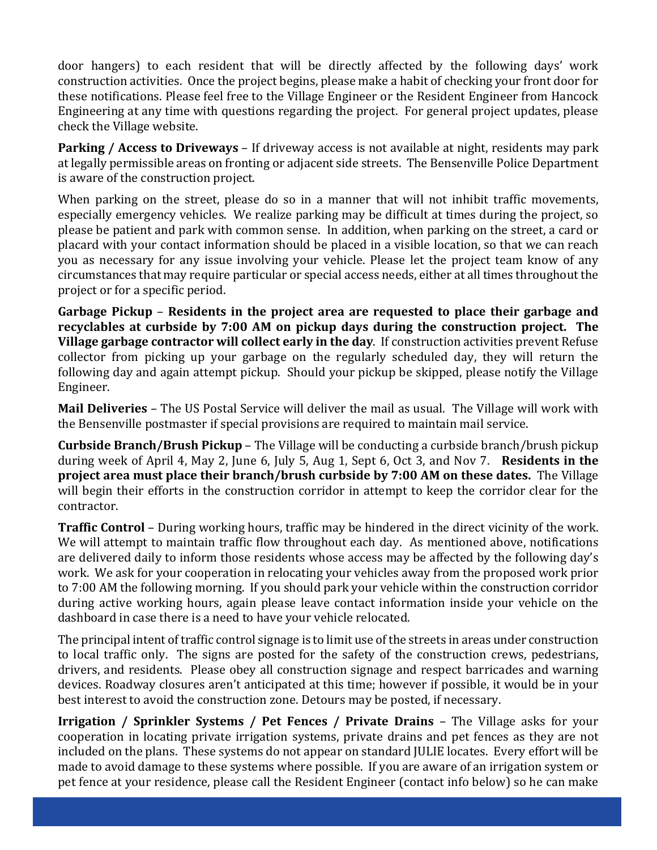door hangers) to each resident that will be directly affected by the following days' work construction activities. Once the project begins, please make a habit of checking your front door for these notifications. Please feel free to the Village Engineer or the Resident Engineer from Hancock Engineering at any time with questions regarding the project. For general project updates, please check the Village website.

**Parking / Access to Driveways** – If driveway access is not available at night, residents may park at legally permissible areas on fronting or adjacent side streets. The Bensenville Police Department is aware of the construction project.

When parking on the street, please do so in a manner that will not inhibit traffic movements, especially emergency vehicles. We realize parking may be difficult at times during the project, so please be patient and park with common sense. In addition, when parking on the street, a card or placard with your contact information should be placed in a visible location, so that we can reach you as necessary for any issue involving your vehicle. Please let the project team know of any circumstances that may require particular or special access needs, either at all times throughout the project or for a specific period.

**Garbage Pickup** – **Residents in the project area are requested to place their garbage and recyclables at curbside by 7:00 AM on pickup days during the construction project. The Village garbage contractor will collect early in the day**. If construction activities prevent Refuse collector from picking up your garbage on the regularly scheduled day, they will return the following day and again attempt pickup. Should your pickup be skipped, please notify the Village Engineer.

**Mail Deliveries** – The US Postal Service will deliver the mail as usual. The Village will work with the Bensenville postmaster if special provisions are required to maintain mail service.

**Curbside Branch/Brush Pickup** – The Village will be conducting a curbside branch/brush pickup during week of April 4, May 2, June 6, July 5, Aug 1, Sept 6, Oct 3, and Nov 7. **Residents in the project area must place their branch/brush curbside by 7:00 AM on these dates.** The Village will begin their efforts in the construction corridor in attempt to keep the corridor clear for the contractor.

**Traffic Control** – During working hours, traffic may be hindered in the direct vicinity of the work. We will attempt to maintain traffic flow throughout each day. As mentioned above, notifications are delivered daily to inform those residents whose access may be affected by the following day's work. We ask for your cooperation in relocating your vehicles away from the proposed work prior to 7:00 AM the following morning. If you should park your vehicle within the construction corridor during active working hours, again please leave contact information inside your vehicle on the dashboard in case there is a need to have your vehicle relocated.

The principal intent of traffic control signage is to limit use of the streets in areas under construction to local traffic only. The signs are posted for the safety of the construction crews, pedestrians, drivers, and residents. Please obey all construction signage and respect barricades and warning devices. Roadway closures aren't anticipated at this time; however if possible, it would be in your best interest to avoid the construction zone. Detours may be posted, if necessary.

**Irrigation / Sprinkler Systems / Pet Fences / Private Drains** – The Village asks for your cooperation in locating private irrigation systems, private drains and pet fences as they are not included on the plans. These systems do not appear on standard JULIE locates. Every effort will be made to avoid damage to these systems where possible. If you are aware of an irrigation system or pet fence at your residence, please call the Resident Engineer (contact info below) so he can make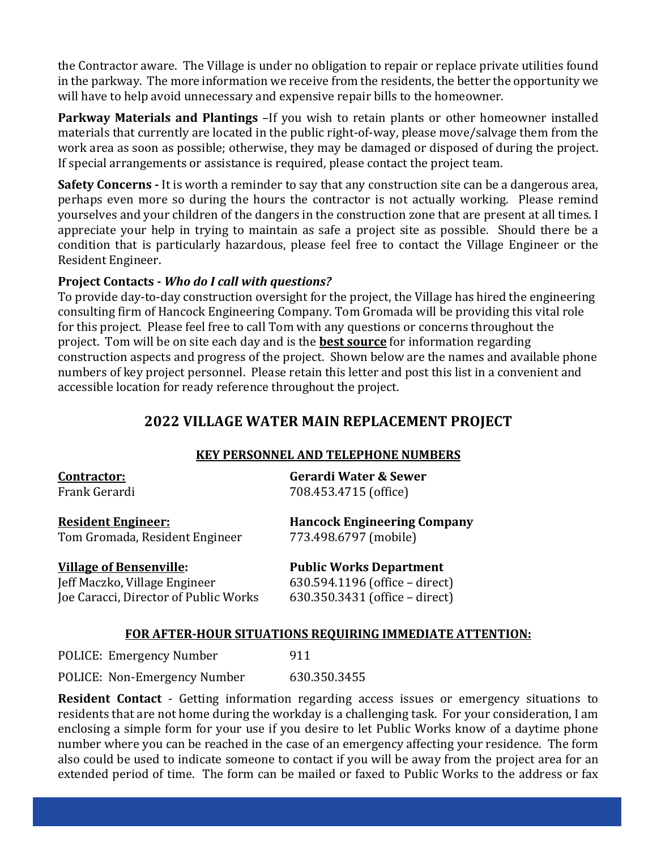the Contractor aware. The Village is under no obligation to repair or replace private utilities found in the parkway. The more information we receive from the residents, the better the opportunity we will have to help avoid unnecessary and expensive repair bills to the homeowner.

**Parkway Materials and Plantings** –If you wish to retain plants or other homeowner installed materials that currently are located in the public right-of-way, please move/salvage them from the work area as soon as possible; otherwise, they may be damaged or disposed of during the project. If special arrangements or assistance is required, please contact the project team.

**Safety Concerns** - It is worth a reminder to say that any construction site can be a dangerous area, perhaps even more so during the hours the contractor is not actually working. Please remind yourselves and your children of the dangers in the construction zone that are present at all times. I appreciate your help in trying to maintain as safe a project site as possible. Should there be a condition that is particularly hazardous, please feel free to contact the Village Engineer or the Resident Engineer.

#### **Project Contacts ‐** *Who do I call with questions?*

To provide day-to-day construction oversight for the project, the Village has hired the engineering consulting firm of Hancock Engineering Company. Tom Gromada will be providing this vital role for this project. Please feel free to call Tom with any questions or concerns throughout the project. Tom will be on site each day and is the **best source** for information regarding construction aspects and progress of the project. Shown below are the names and available phone numbers of key project personnel. Please retain this letter and post this list in a convenient and accessible location for ready reference throughout the project.

### **2022 VILLAGE WATER MAIN REPLACEMENT PROJECT**

### **KEY PERSONNEL AND TELEPHONE NUMBERS**

| <b>Contractor:</b>                    | <b>Gerardi Water &amp; Sewer</b>   |  |
|---------------------------------------|------------------------------------|--|
| Frank Gerardi                         | 708.453.4715 (office)              |  |
| <b>Resident Engineer:</b>             | <b>Hancock Engineering Company</b> |  |
| Tom Gromada, Resident Engineer        | 773.498.6797 (mobile)              |  |
| <b>Village of Bensenville:</b>        | <b>Public Works Department</b>     |  |
| Jeff Maczko, Village Engineer         | 630.594.1196 (office - direct)     |  |
| Joe Caracci, Director of Public Works | 630.350.3431 (office - direct)     |  |

#### **FOR AFTER‐HOUR SITUATIONS REQUIRING IMMEDIATE ATTENTION:**

POLICE: Emergency Number 911

POLICE: Non-Emergency Number 630.350.3455

**Resident Contact** - Getting information regarding access issues or emergency situations to residents that are not home during the workday is a challenging task. For your consideration, I am enclosing a simple form for your use if you desire to let Public Works know of a daytime phone number where you can be reached in the case of an emergency affecting your residence. The form also could be used to indicate someone to contact if you will be away from the project area for an extended period of time. The form can be mailed or faxed to Public Works to the address or fax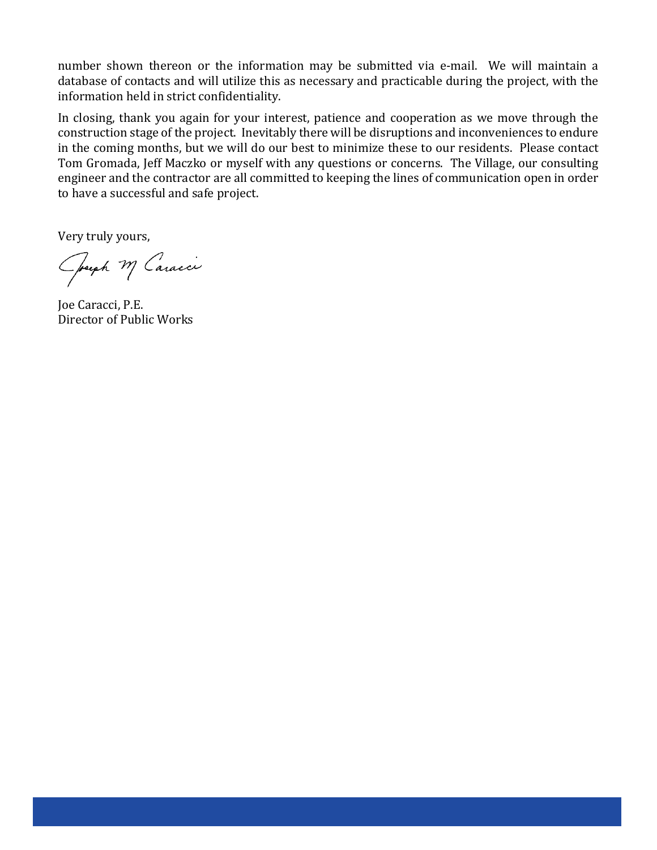number shown thereon or the information may be submitted via e-mail. We will maintain a database of contacts and will utilize this as necessary and practicable during the project, with the information held in strict confidentiality.

In closing, thank you again for your interest, patience and cooperation as we move through the construction stage of the project. Inevitably there will be disruptions and inconveniences to endure in the coming months, but we will do our best to minimize these to our residents. Please contact Tom Gromada, Jeff Maczko or myself with any questions or concerns. The Village, our consulting engineer and the contractor are all committed to keeping the lines of communication open in order to have a successful and safe project.

Very truly yours,

Operph M Caracci

Joe Caracci, P.E. Director of Public Works